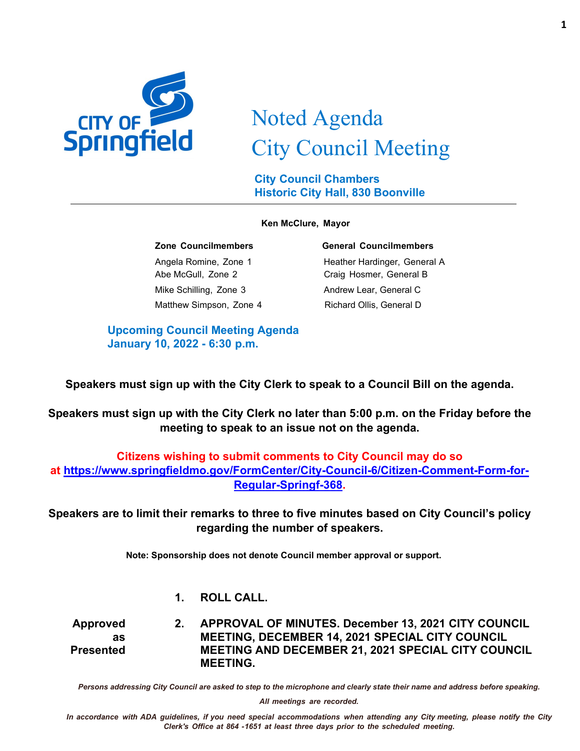

# Noted Agenda City Council Meeting

**City Council Chambers Historic City Hall, 830 Boonville**

#### **Ken McClure, Mayor**

Abe McGull, Zone 2 Craig Hosmer, General B Mike Schilling, Zone 3 Andrew Lear, General C Matthew Simpson, Zone 4 Richard Ollis, General D

#### **Zone Councilmembers General Councilmembers**

Angela Romine, Zone 1 Heather Hardinger, General A

**Upcoming Council Meeting Agenda January 10, 2022 - 6:30 p.m.**

**Speakers must sign up with the City Clerk to speak to a Council Bill on the agenda.**

**Speakers must sign up with the City Clerk no later than 5:00 p.m. on the Friday before the meeting to speak to an issue not on the agenda.**

## **Citizens wishing to submit comments to City Council may do so at [https://www.springfieldmo.gov/FormCenter/City-Council-6/Citizen-Comment-Form-for-](https://www.springfieldmo.gov/FormCenter/City-Council-6/Citizen-Comment-Form-for-Regular-Springf-368)[Regular-Springf-368.](https://www.springfieldmo.gov/FormCenter/City-Council-6/Citizen-Comment-Form-for-Regular-Springf-368)**

**Speakers are to limit their remarks to three to five minutes based on City Council's policy regarding the number of speakers.**

**Note: Sponsorship does not denote Council member approval or support.**

#### **1. ROLL CALL.**

**Approved as Presented 2. APPROVAL OF MINUTES. December 13, 2021 CITY COUNCIL MEETING, DECEMBER 14, 2021 SPECIAL CITY COUNCIL MEETING AND DECEMBER 21, 2021 SPECIAL CITY COUNCIL MEETING.**

*Persons addressing City Council are asked to step to the microphone and clearly state their name and address before speaking.*

*All meetings are recorded.*

In accordance with ADA guidelines, if you need special accommodations when attending any City meeting, please notify the City *Clerk's Office at 864 -1651 at least three days prior to the scheduled meeting.*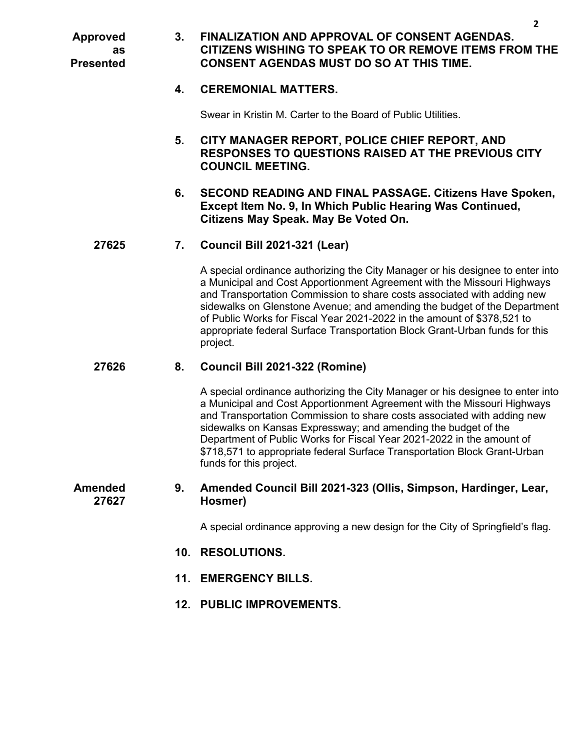**Approved as Presented**

### **3. FINALIZATION AND APPROVAL OF CONSENT AGENDAS. CITIZENS WISHING TO SPEAK TO OR REMOVE ITEMS FROM THE CONSENT AGENDAS MUST DO SO AT THIS TIME.**

#### **4. CEREMONIAL MATTERS.**

Swear in Kristin M. Carter to the Board of Public Utilities.

- **5. CITY MANAGER REPORT, POLICE CHIEF REPORT, AND RESPONSES TO QUESTIONS RAISED AT THE PREVIOUS CITY COUNCIL MEETING.**
- **6. SECOND READING AND FINAL PASSAGE. Citizens Have Spoken, Except Item No. 9, In Which Public Hearing Was Continued, Citizens May Speak. May Be Voted On.**

#### **27625 7. Council Bill 2021-321 (Lear)**

A special ordinance authorizing the City Manager or his designee to enter into a Municipal and Cost Apportionment Agreement with the Missouri Highways and Transportation Commission to share costs associated with adding new sidewalks on Glenstone Avenue; and amending the budget of the Department of Public Works for Fiscal Year 2021-2022 in the amount of \$378,521 to appropriate federal Surface Transportation Block Grant-Urban funds for this project.

#### **27626 8. Council Bill 2021-322 (Romine)**

A special ordinance authorizing the City Manager or his designee to enter into a Municipal and Cost Apportionment Agreement with the Missouri Highways and Transportation Commission to share costs associated with adding new sidewalks on Kansas Expressway; and amending the budget of the Department of Public Works for Fiscal Year 2021-2022 in the amount of \$718,571 to appropriate federal Surface Transportation Block Grant-Urban funds for this project.

#### **Amended 27627 9. Amended Council Bill 2021-323 (Ollis, Simpson, Hardinger, Lear, Hosmer)**

A special ordinance approving a new design for the City of Springfield's flag.

- **10. RESOLUTIONS.**
- **11. EMERGENCY BILLS.**
- **12. PUBLIC IMPROVEMENTS.**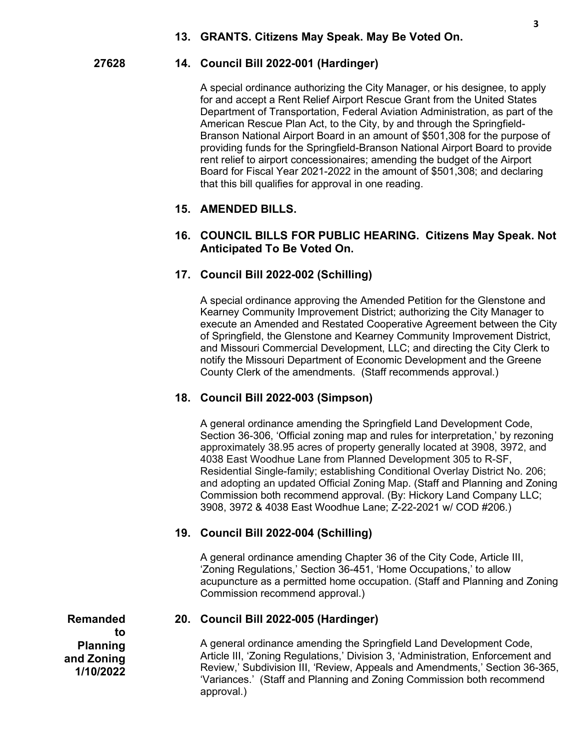#### **27628 14. Council Bill 2022-001 (Hardinger)**

A special ordinance authorizing the City Manager, or his designee, to apply for and accept a Rent Relief Airport Rescue Grant from the United States Department of Transportation, Federal Aviation Administration, as part of the American Rescue Plan Act, to the City, by and through the Springfield-Branson National Airport Board in an amount of \$501,308 for the purpose of providing funds for the Springfield-Branson National Airport Board to provide rent relief to airport concessionaires; amending the budget of the Airport Board for Fiscal Year 2021-2022 in the amount of \$501,308; and declaring that this bill qualifies for approval in one reading.

#### **15. AMENDED BILLS.**

#### **16. COUNCIL BILLS FOR PUBLIC HEARING. Citizens May Speak. Not Anticipated To Be Voted On.**

#### **17. Council Bill 2022-002 (Schilling)**

A special ordinance approving the Amended Petition for the Glenstone and Kearney Community Improvement District; authorizing the City Manager to execute an Amended and Restated Cooperative Agreement between the City of Springfield, the Glenstone and Kearney Community Improvement District, and Missouri Commercial Development, LLC; and directing the City Clerk to notify the Missouri Department of Economic Development and the Greene County Clerk of the amendments. (Staff recommends approval.)

#### **18. Council Bill 2022-003 (Simpson)**

A general ordinance amending the Springfield Land Development Code, Section 36-306, 'Official zoning map and rules for interpretation,' by rezoning approximately 38.95 acres of property generally located at 3908, 3972, and 4038 East Woodhue Lane from Planned Development 305 to R-SF, Residential Single-family; establishing Conditional Overlay District No. 206; and adopting an updated Official Zoning Map. (Staff and Planning and Zoning Commission both recommend approval. (By: Hickory Land Company LLC; 3908, 3972 & 4038 East Woodhue Lane; Z-22-2021 w/ COD #206.)

#### **19. Council Bill 2022-004 (Schilling)**

A general ordinance amending Chapter 36 of the City Code, Article III, 'Zoning Regulations,' Section 36-451, 'Home Occupations,' to allow acupuncture as a permitted home occupation. (Staff and Planning and Zoning Commission recommend approval.)

**Remanded to Planning and Zoning 1/10/2022**

#### **20. Council Bill 2022-005 (Hardinger)**

A general ordinance amending the Springfield Land Development Code, Article III, 'Zoning Regulations,' Division 3, 'Administration, Enforcement and Review,' Subdivision III, 'Review, Appeals and Amendments,' Section 36-365, 'Variances.' (Staff and Planning and Zoning Commission both recommend approval.)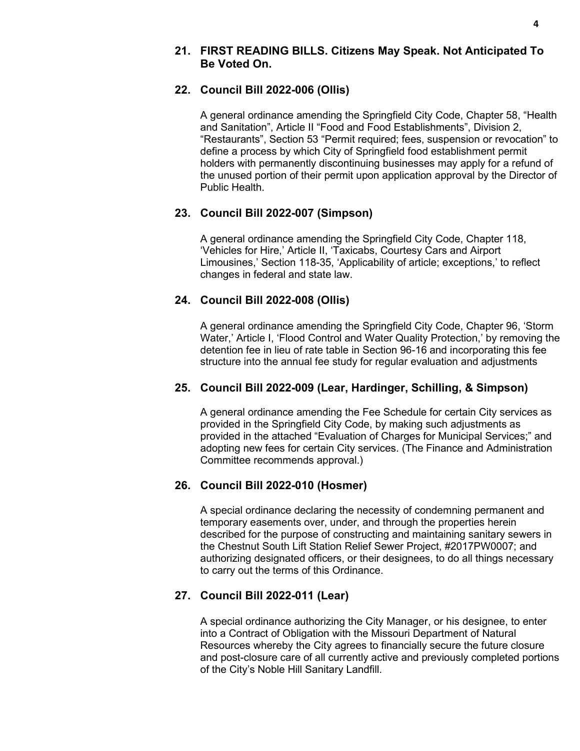#### **21. FIRST READING BILLS. Citizens May Speak. Not Anticipated To Be Voted On.**

#### **22. Council Bill 2022-006 (Ollis)**

A general ordinance amending the Springfield City Code, Chapter 58, "Health and Sanitation", Article II "Food and Food Establishments", Division 2, "Restaurants", Section 53 "Permit required; fees, suspension or revocation" to define a process by which City of Springfield food establishment permit holders with permanently discontinuing businesses may apply for a refund of the unused portion of their permit upon application approval by the Director of Public Health.

#### **23. Council Bill 2022-007 (Simpson)**

A general ordinance amending the Springfield City Code, Chapter 118, 'Vehicles for Hire,' Article II, 'Taxicabs, Courtesy Cars and Airport Limousines,' Section 118-35, 'Applicability of article; exceptions,' to reflect changes in federal and state law.

#### **24. Council Bill 2022-008 (Ollis)**

A general ordinance amending the Springfield City Code, Chapter 96, 'Storm Water,' Article I, 'Flood Control and Water Quality Protection,' by removing the detention fee in lieu of rate table in Section 96-16 and incorporating this fee structure into the annual fee study for regular evaluation and adjustments

#### **25. Council Bill 2022-009 (Lear, Hardinger, Schilling, & Simpson)**

A general ordinance amending the Fee Schedule for certain City services as provided in the Springfield City Code, by making such adjustments as provided in the attached "Evaluation of Charges for Municipal Services;" and adopting new fees for certain City services. (The Finance and Administration Committee recommends approval.)

### **26. Council Bill 2022-010 (Hosmer)**

A special ordinance declaring the necessity of condemning permanent and temporary easements over, under, and through the properties herein described for the purpose of constructing and maintaining sanitary sewers in the Chestnut South Lift Station Relief Sewer Project, #2017PW0007; and authorizing designated officers, or their designees, to do all things necessary to carry out the terms of this Ordinance.

### **27. Council Bill 2022-011 (Lear)**

A special ordinance authorizing the City Manager, or his designee, to enter into a Contract of Obligation with the Missouri Department of Natural Resources whereby the City agrees to financially secure the future closure and post-closure care of all currently active and previously completed portions of the City's Noble Hill Sanitary Landfill.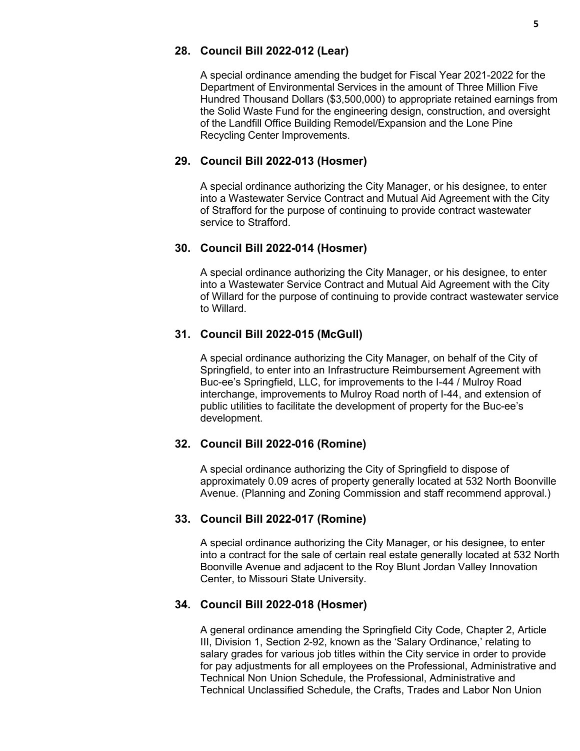#### **28. Council Bill 2022-012 (Lear)**

A special ordinance amending the budget for Fiscal Year 2021-2022 for the Department of Environmental Services in the amount of Three Million Five Hundred Thousand Dollars (\$3,500,000) to appropriate retained earnings from the Solid Waste Fund for the engineering design, construction, and oversight of the Landfill Office Building Remodel/Expansion and the Lone Pine Recycling Center Improvements.

#### **29. Council Bill 2022-013 (Hosmer)**

A special ordinance authorizing the City Manager, or his designee, to enter into a Wastewater Service Contract and Mutual Aid Agreement with the City of Strafford for the purpose of continuing to provide contract wastewater service to Strafford.

#### **30. Council Bill 2022-014 (Hosmer)**

A special ordinance authorizing the City Manager, or his designee, to enter into a Wastewater Service Contract and Mutual Aid Agreement with the City of Willard for the purpose of continuing to provide contract wastewater service to Willard.

#### **31. Council Bill 2022-015 (McGull)**

A special ordinance authorizing the City Manager, on behalf of the City of Springfield, to enter into an Infrastructure Reimbursement Agreement with Buc-ee's Springfield, LLC, for improvements to the I-44 / Mulroy Road interchange, improvements to Mulroy Road north of I-44, and extension of public utilities to facilitate the development of property for the Buc-ee's development.

#### **32. Council Bill 2022-016 (Romine)**

A special ordinance authorizing the City of Springfield to dispose of approximately 0.09 acres of property generally located at 532 North Boonville Avenue. (Planning and Zoning Commission and staff recommend approval.)

#### **33. Council Bill 2022-017 (Romine)**

A special ordinance authorizing the City Manager, or his designee, to enter into a contract for the sale of certain real estate generally located at 532 North Boonville Avenue and adjacent to the Roy Blunt Jordan Valley Innovation Center, to Missouri State University.

#### **34. Council Bill 2022-018 (Hosmer)**

A general ordinance amending the Springfield City Code, Chapter 2, Article III, Division 1, Section 2-92, known as the 'Salary Ordinance,' relating to salary grades for various job titles within the City service in order to provide for pay adjustments for all employees on the Professional, Administrative and Technical Non Union Schedule, the Professional, Administrative and Technical Unclassified Schedule, the Crafts, Trades and Labor Non Union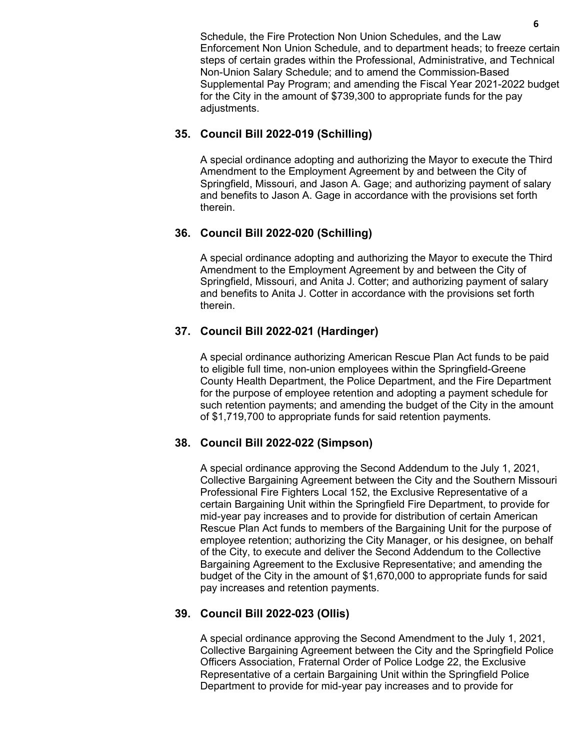Schedule, the Fire Protection Non Union Schedules, and the Law Enforcement Non Union Schedule, and to department heads; to freeze certain steps of certain grades within the Professional, Administrative, and Technical Non-Union Salary Schedule; and to amend the Commission-Based Supplemental Pay Program; and amending the Fiscal Year 2021-2022 budget for the City in the amount of \$739,300 to appropriate funds for the pay adjustments.

#### **35. Council Bill 2022-019 (Schilling)**

A special ordinance adopting and authorizing the Mayor to execute the Third Amendment to the Employment Agreement by and between the City of Springfield, Missouri, and Jason A. Gage; and authorizing payment of salary and benefits to Jason A. Gage in accordance with the provisions set forth therein.

#### **36. Council Bill 2022-020 (Schilling)**

A special ordinance adopting and authorizing the Mayor to execute the Third Amendment to the Employment Agreement by and between the City of Springfield, Missouri, and Anita J. Cotter; and authorizing payment of salary and benefits to Anita J. Cotter in accordance with the provisions set forth therein.

#### **37. Council Bill 2022-021 (Hardinger)**

A special ordinance authorizing American Rescue Plan Act funds to be paid to eligible full time, non-union employees within the Springfield-Greene County Health Department, the Police Department, and the Fire Department for the purpose of employee retention and adopting a payment schedule for such retention payments; and amending the budget of the City in the amount of \$1,719,700 to appropriate funds for said retention payments.

#### **38. Council Bill 2022-022 (Simpson)**

A special ordinance approving the Second Addendum to the July 1, 2021, Collective Bargaining Agreement between the City and the Southern Missouri Professional Fire Fighters Local 152, the Exclusive Representative of a certain Bargaining Unit within the Springfield Fire Department, to provide for mid-year pay increases and to provide for distribution of certain American Rescue Plan Act funds to members of the Bargaining Unit for the purpose of employee retention; authorizing the City Manager, or his designee, on behalf of the City, to execute and deliver the Second Addendum to the Collective Bargaining Agreement to the Exclusive Representative; and amending the budget of the City in the amount of \$1,670,000 to appropriate funds for said pay increases and retention payments.

### **39. Council Bill 2022-023 (Ollis)**

A special ordinance approving the Second Amendment to the July 1, 2021, Collective Bargaining Agreement between the City and the Springfield Police Officers Association, Fraternal Order of Police Lodge 22, the Exclusive Representative of a certain Bargaining Unit within the Springfield Police Department to provide for mid-year pay increases and to provide for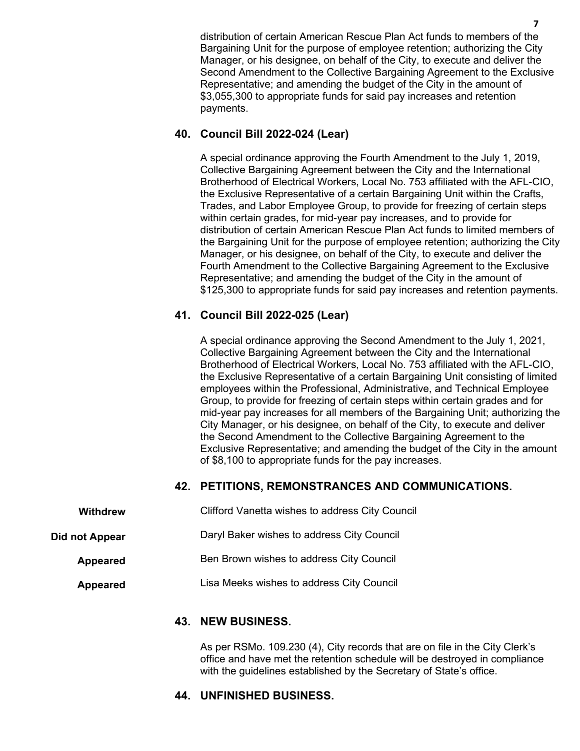distribution of certain American Rescue Plan Act funds to members of the Bargaining Unit for the purpose of employee retention; authorizing the City Manager, or his designee, on behalf of the City, to execute and deliver the Second Amendment to the Collective Bargaining Agreement to the Exclusive Representative; and amending the budget of the City in the amount of \$3,055,300 to appropriate funds for said pay increases and retention payments.

#### **40. Council Bill 2022-024 (Lear)**

A special ordinance approving the Fourth Amendment to the July 1, 2019, Collective Bargaining Agreement between the City and the International Brotherhood of Electrical Workers, Local No. 753 affiliated with the AFL-CIO, the Exclusive Representative of a certain Bargaining Unit within the Crafts, Trades, and Labor Employee Group, to provide for freezing of certain steps within certain grades, for mid-year pay increases, and to provide for distribution of certain American Rescue Plan Act funds to limited members of the Bargaining Unit for the purpose of employee retention; authorizing the City Manager, or his designee, on behalf of the City, to execute and deliver the Fourth Amendment to the Collective Bargaining Agreement to the Exclusive Representative; and amending the budget of the City in the amount of \$125,300 to appropriate funds for said pay increases and retention payments.

#### **41. Council Bill 2022-025 (Lear)**

A special ordinance approving the Second Amendment to the July 1, 2021, Collective Bargaining Agreement between the City and the International Brotherhood of Electrical Workers, Local No. 753 affiliated with the AFL-CIO, the Exclusive Representative of a certain Bargaining Unit consisting of limited employees within the Professional, Administrative, and Technical Employee Group, to provide for freezing of certain steps within certain grades and for mid-year pay increases for all members of the Bargaining Unit; authorizing the City Manager, or his designee, on behalf of the City, to execute and deliver the Second Amendment to the Collective Bargaining Agreement to the Exclusive Representative; and amending the budget of the City in the amount of \$8,100 to appropriate funds for the pay increases.

#### **42. PETITIONS, REMONSTRANCES AND COMMUNICATIONS.**

| <b>Withdrew</b> | Clifford Vanetta wishes to address City Council |
|-----------------|-------------------------------------------------|
| Did not Appear  | Daryl Baker wishes to address City Council      |
| <b>Appeared</b> | Ben Brown wishes to address City Council        |
| <b>Appeared</b> | Lisa Meeks wishes to address City Council       |

#### **43. NEW BUSINESS.**

As per RSMo. 109.230 (4), City records that are on file in the City Clerk's office and have met the retention schedule will be destroyed in compliance with the guidelines established by the Secretary of State's office.

#### **44. UNFINISHED BUSINESS.**